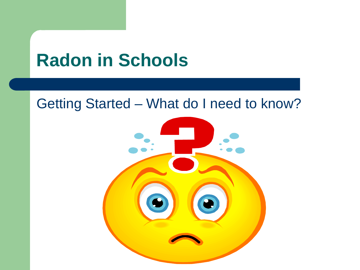# **Radon in Schools**

### Getting Started – What do I need to know?

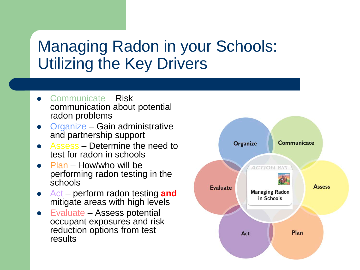## Managing Radon in your Schools: Utilizing the Key Drivers

- Communicate Risk communication about potential radon problems
- Organize Gain administrative and partnership support
- Assess Determine the need to test for radon in schools
- Plan How/who will be performing radon testing in the schools
- Act perform radon testing **and** mitigate areas with high levels
- Evaluate Assess potential occupant exposures and risk reduction options from test results

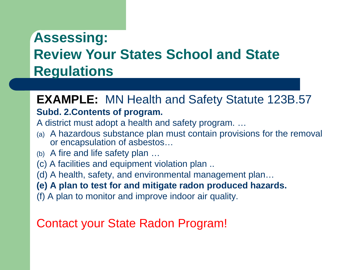## **Assessing: Review Your States School and State Regulations**

### **EXAMPLE:** MN Health and Safety Statute 123B.57

#### **Subd. 2.Contents of program.**

A district must adopt a health and safety program. …

- (a) A hazardous substance plan must contain provisions for the removal or encapsulation of asbestos…
- (b) A fire and life safety plan …
- (c) A facilities and equipment violation plan ..
- (d) A health, safety, and environmental management plan…

#### **(e) A plan to test for and mitigate radon produced hazards.**

(f) A plan to monitor and improve indoor air quality.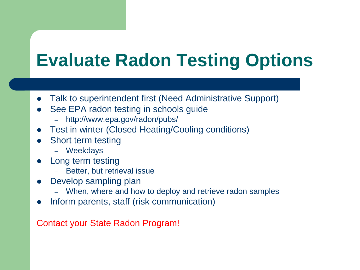# **Evaluate Radon Testing Options**

- Talk to superintendent first (Need Administrative Support)
- See EPA radon testing in schools guide
	- <http://www.epa.gov/radon/pubs/>
- Test in winter (Closed Heating/Cooling conditions)
- Short term testing
	- Weekdays
- Long term testing
	- Better, but retrieval issue
- Develop sampling plan
	- When, where and how to deploy and retrieve radon samples
- Inform parents, staff (risk communication)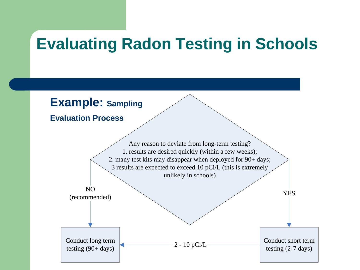## **Evaluating Radon Testing in Schools**

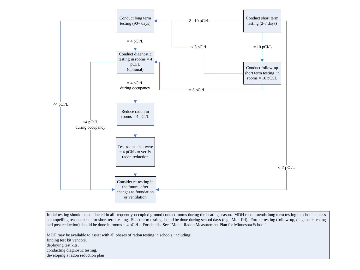

Initial testing should be conducted in all frequently-occupied ground contact rooms during the heating season. MDH recommends long term testing in schools unless a compelling reason exists for short term testing. Short-term testing should be done during school days (e.g., Mon-Fri). Further testing (follow-up, diagnostic testing and post-reduction) should be done in rooms = 4 pCi/L. For details. See "Model Radon Measurement Plan for Minnesota School"

MDH may be available to assist with all phases of radon testing in schools, including:

finding test kit vendors,

deploying test kits,

conducting diagnostic testing,

developing a radon reduction plan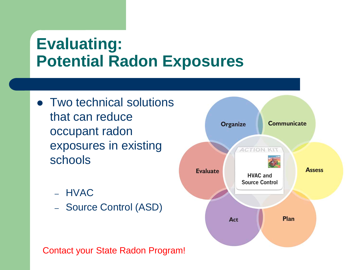## **Evaluating: Potential Radon Exposures**

- Two technical solutions that can reduce occupant radon exposures in existing schools
	- HVAC
	- Source Control (ASD)

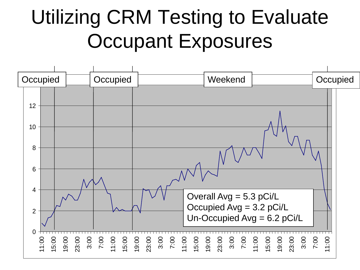# Utilizing CRM Testing to Evaluate Occupant Exposures

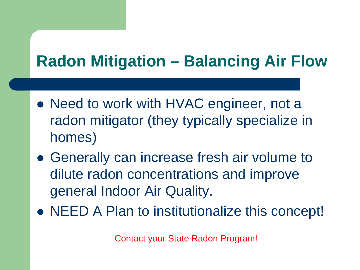## **Radon Mitigation – Balancing Air Flow**

- Need to work with HVAC engineer, not a radon mitigator (they typically specialize in homes)
- Generally can increase fresh air volume to dilute radon concentrations and improve general Indoor Air Quality.
- NEED A Plan to institutionalize this concept!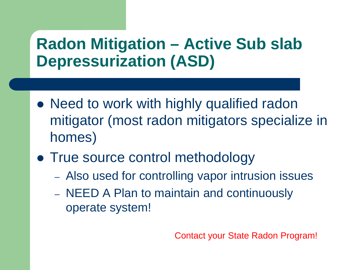## **Radon Mitigation – Active Sub slab Depressurization (ASD)**

- Need to work with highly qualified radon mitigator (most radon mitigators specialize in homes)
- True source control methodology
	- Also used for controlling vapor intrusion issues
	- NEED A Plan to maintain and continuously operate system!